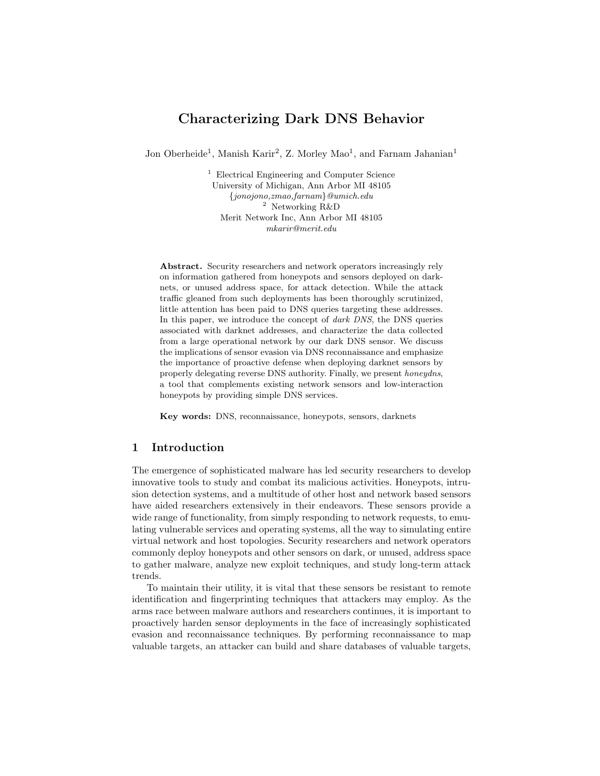# Characterizing Dark DNS Behavior

Jon Oberheide<sup>1</sup>, Manish Karir<sup>2</sup>, Z. Morley Mao<sup>1</sup>, and Farnam Jahanian<sup>1</sup>

<sup>1</sup> Electrical Engineering and Computer Science University of Michigan, Ann Arbor MI 48105 {jonojono,zmao,farnam}@umich.edu <sup>2</sup> Networking R&D Merit Network Inc, Ann Arbor MI 48105 mkarir@merit.edu

Abstract. Security researchers and network operators increasingly rely on information gathered from honeypots and sensors deployed on darknets, or unused address space, for attack detection. While the attack traffic gleaned from such deployments has been thoroughly scrutinized, little attention has been paid to DNS queries targeting these addresses. In this paper, we introduce the concept of *dark DNS*, the DNS queries associated with darknet addresses, and characterize the data collected from a large operational network by our dark DNS sensor. We discuss the implications of sensor evasion via DNS reconnaissance and emphasize the importance of proactive defense when deploying darknet sensors by properly delegating reverse DNS authority. Finally, we present honeydns, a tool that complements existing network sensors and low-interaction honeypots by providing simple DNS services.

Key words: DNS, reconnaissance, honeypots, sensors, darknets

# 1 Introduction

The emergence of sophisticated malware has led security researchers to develop innovative tools to study and combat its malicious activities. Honeypots, intrusion detection systems, and a multitude of other host and network based sensors have aided researchers extensively in their endeavors. These sensors provide a wide range of functionality, from simply responding to network requests, to emulating vulnerable services and operating systems, all the way to simulating entire virtual network and host topologies. Security researchers and network operators commonly deploy honeypots and other sensors on dark, or unused, address space to gather malware, analyze new exploit techniques, and study long-term attack trends.

To maintain their utility, it is vital that these sensors be resistant to remote identification and fingerprinting techniques that attackers may employ. As the arms race between malware authors and researchers continues, it is important to proactively harden sensor deployments in the face of increasingly sophisticated evasion and reconnaissance techniques. By performing reconnaissance to map valuable targets, an attacker can build and share databases of valuable targets,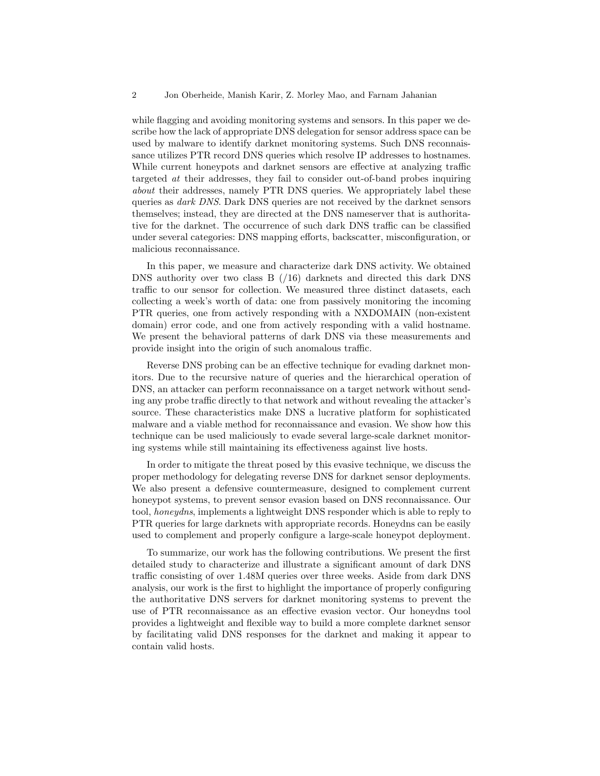while flagging and avoiding monitoring systems and sensors. In this paper we describe how the lack of appropriate DNS delegation for sensor address space can be used by malware to identify darknet monitoring systems. Such DNS reconnaissance utilizes PTR record DNS queries which resolve IP addresses to hostnames. While current honeypots and darknet sensors are effective at analyzing traffic targeted at their addresses, they fail to consider out-of-band probes inquiring about their addresses, namely PTR DNS queries. We appropriately label these queries as dark DNS. Dark DNS queries are not received by the darknet sensors themselves; instead, they are directed at the DNS nameserver that is authoritative for the darknet. The occurrence of such dark DNS traffic can be classified under several categories: DNS mapping efforts, backscatter, misconfiguration, or malicious reconnaissance.

In this paper, we measure and characterize dark DNS activity. We obtained DNS authority over two class B (/16) darknets and directed this dark DNS traffic to our sensor for collection. We measured three distinct datasets, each collecting a week's worth of data: one from passively monitoring the incoming PTR queries, one from actively responding with a NXDOMAIN (non-existent domain) error code, and one from actively responding with a valid hostname. We present the behavioral patterns of dark DNS via these measurements and provide insight into the origin of such anomalous traffic.

Reverse DNS probing can be an effective technique for evading darknet monitors. Due to the recursive nature of queries and the hierarchical operation of DNS, an attacker can perform reconnaissance on a target network without sending any probe traffic directly to that network and without revealing the attacker's source. These characteristics make DNS a lucrative platform for sophisticated malware and a viable method for reconnaissance and evasion. We show how this technique can be used maliciously to evade several large-scale darknet monitoring systems while still maintaining its effectiveness against live hosts.

In order to mitigate the threat posed by this evasive technique, we discuss the proper methodology for delegating reverse DNS for darknet sensor deployments. We also present a defensive countermeasure, designed to complement current honeypot systems, to prevent sensor evasion based on DNS reconnaissance. Our tool, honeydns, implements a lightweight DNS responder which is able to reply to PTR queries for large darknets with appropriate records. Honeydns can be easily used to complement and properly configure a large-scale honeypot deployment.

To summarize, our work has the following contributions. We present the first detailed study to characterize and illustrate a significant amount of dark DNS traffic consisting of over 1.48M queries over three weeks. Aside from dark DNS analysis, our work is the first to highlight the importance of properly configuring the authoritative DNS servers for darknet monitoring systems to prevent the use of PTR reconnaissance as an effective evasion vector. Our honeydns tool provides a lightweight and flexible way to build a more complete darknet sensor by facilitating valid DNS responses for the darknet and making it appear to contain valid hosts.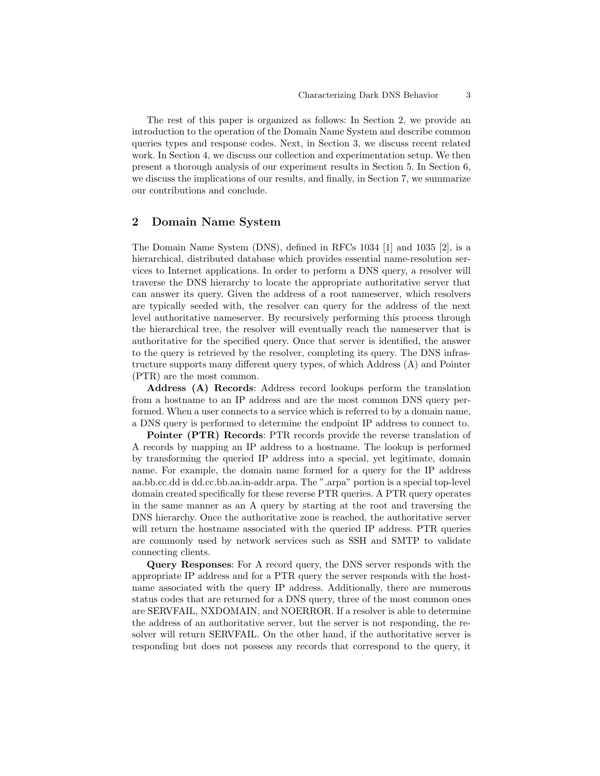The rest of this paper is organized as follows: In Section 2, we provide an introduction to the operation of the Domain Name System and describe common queries types and response codes. Next, in Section 3, we discuss recent related work. In Section 4, we discuss our collection and experimentation setup. We then present a thorough analysis of our experiment results in Section 5. In Section 6, we discuss the implications of our results, and finally, in Section 7, we summarize our contributions and conclude.

### 2 Domain Name System

The Domain Name System (DNS), defined in RFCs 1034 [1] and 1035 [2], is a hierarchical, distributed database which provides essential name-resolution services to Internet applications. In order to perform a DNS query, a resolver will traverse the DNS hierarchy to locate the appropriate authoritative server that can answer its query. Given the address of a root nameserver, which resolvers are typically seeded with, the resolver can query for the address of the next level authoritative nameserver. By recursively performing this process through the hierarchical tree, the resolver will eventually reach the nameserver that is authoritative for the specified query. Once that server is identified, the answer to the query is retrieved by the resolver, completing its query. The DNS infrastructure supports many different query types, of which Address (A) and Pointer (PTR) are the most common.

Address (A) Records: Address record lookups perform the translation from a hostname to an IP address and are the most common DNS query performed. When a user connects to a service which is referred to by a domain name, a DNS query is performed to determine the endpoint IP address to connect to.

Pointer (PTR) Records: PTR records provide the reverse translation of A records by mapping an IP address to a hostname. The lookup is performed by transforming the queried IP address into a special, yet legitimate, domain name. For example, the domain name formed for a query for the IP address aa.bb.cc.dd is dd.cc.bb.aa.in-addr.arpa. The ".arpa" portion is a special top-level domain created specifically for these reverse PTR queries. A PTR query operates in the same manner as an A query by starting at the root and traversing the DNS hierarchy. Once the authoritative zone is reached, the authoritative server will return the hostname associated with the queried IP address. PTR queries are commonly used by network services such as SSH and SMTP to validate connecting clients.

Query Responses: For A record query, the DNS server responds with the appropriate IP address and for a PTR query the server responds with the hostname associated with the query IP address. Additionally, there are numerous status codes that are returned for a DNS query, three of the most common ones are SERVFAIL, NXDOMAIN, and NOERROR. If a resolver is able to determine the address of an authoritative server, but the server is not responding, the resolver will return SERVFAIL. On the other hand, if the authoritative server is responding but does not possess any records that correspond to the query, it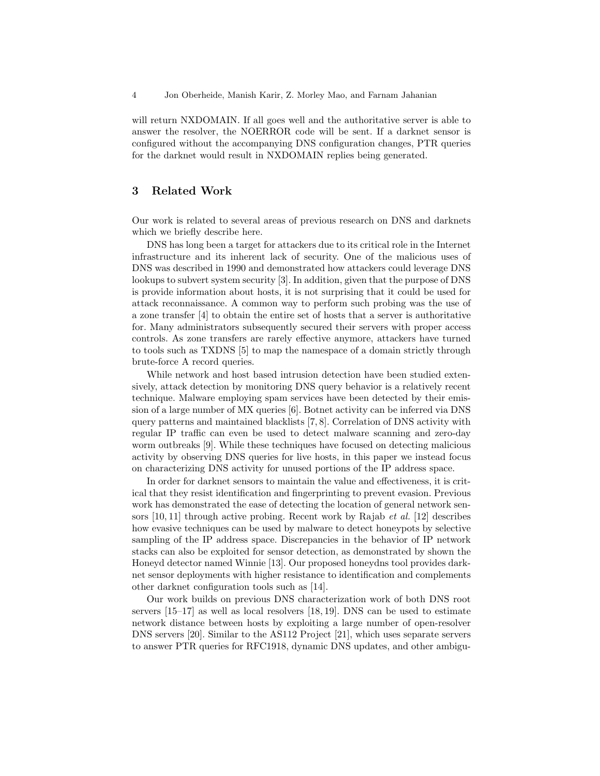will return NXDOMAIN. If all goes well and the authoritative server is able to answer the resolver, the NOERROR code will be sent. If a darknet sensor is configured without the accompanying DNS configuration changes, PTR queries for the darknet would result in NXDOMAIN replies being generated.

# 3 Related Work

Our work is related to several areas of previous research on DNS and darknets which we briefly describe here.

DNS has long been a target for attackers due to its critical role in the Internet infrastructure and its inherent lack of security. One of the malicious uses of DNS was described in 1990 and demonstrated how attackers could leverage DNS lookups to subvert system security [3]. In addition, given that the purpose of DNS is provide information about hosts, it is not surprising that it could be used for attack reconnaissance. A common way to perform such probing was the use of a zone transfer [4] to obtain the entire set of hosts that a server is authoritative for. Many administrators subsequently secured their servers with proper access controls. As zone transfers are rarely effective anymore, attackers have turned to tools such as TXDNS [5] to map the namespace of a domain strictly through brute-force A record queries.

While network and host based intrusion detection have been studied extensively, attack detection by monitoring DNS query behavior is a relatively recent technique. Malware employing spam services have been detected by their emission of a large number of MX queries [6]. Botnet activity can be inferred via DNS query patterns and maintained blacklists [7, 8]. Correlation of DNS activity with regular IP traffic can even be used to detect malware scanning and zero-day worm outbreaks [9]. While these techniques have focused on detecting malicious activity by observing DNS queries for live hosts, in this paper we instead focus on characterizing DNS activity for unused portions of the IP address space.

In order for darknet sensors to maintain the value and effectiveness, it is critical that they resist identification and fingerprinting to prevent evasion. Previous work has demonstrated the ease of detecting the location of general network sensors  $[10, 11]$  through active probing. Recent work by Rajab *et al.* [12] describes how evasive techniques can be used by malware to detect honeypots by selective sampling of the IP address space. Discrepancies in the behavior of IP network stacks can also be exploited for sensor detection, as demonstrated by shown the Honeyd detector named Winnie [13]. Our proposed honeydns tool provides darknet sensor deployments with higher resistance to identification and complements other darknet configuration tools such as [14].

Our work builds on previous DNS characterization work of both DNS root servers [15–17] as well as local resolvers [18, 19]. DNS can be used to estimate network distance between hosts by exploiting a large number of open-resolver DNS servers [20]. Similar to the AS112 Project [21], which uses separate servers to answer PTR queries for RFC1918, dynamic DNS updates, and other ambigu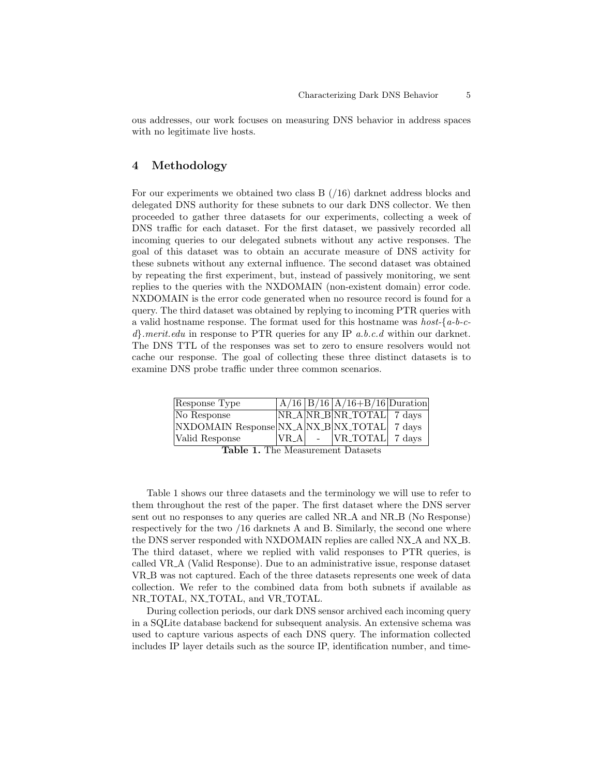ous addresses, our work focuses on measuring DNS behavior in address spaces with no legitimate live hosts.

# 4 Methodology

For our experiments we obtained two class B (/16) darknet address blocks and delegated DNS authority for these subnets to our dark DNS collector. We then proceeded to gather three datasets for our experiments, collecting a week of DNS traffic for each dataset. For the first dataset, we passively recorded all incoming queries to our delegated subnets without any active responses. The goal of this dataset was to obtain an accurate measure of DNS activity for these subnets without any external influence. The second dataset was obtained by repeating the first experiment, but, instead of passively monitoring, we sent replies to the queries with the NXDOMAIN (non-existent domain) error code. NXDOMAIN is the error code generated when no resource record is found for a query. The third dataset was obtained by replying to incoming PTR queries with a valid hostname response. The format used for this hostname was  $host\{a-b-c$  $d$ . merit.edu in response to PTR queries for any IP a.b.c.d within our darknet. The DNS TTL of the responses was set to zero to ensure resolvers would not cache our response. The goal of collecting these three distinct datasets is to examine DNS probe traffic under three common scenarios.

| Response Type                               |      | $A/16   B/16   A/16+B/16  $ Duration |  |
|---------------------------------------------|------|--------------------------------------|--|
| No Response                                 |      | $NR_A NR_B NR\_TOTAL$ 7 days         |  |
| NXDOMAIN Response NX_A NX_B NX_TOTAL 7 days |      |                                      |  |
| Valid Response                              | VR_A | $ VRLTOTAL $ 7 days                  |  |
|                                             |      | $\sqrt{2}$                           |  |

Table 1. The Measurement Datasets

Table 1 shows our three datasets and the terminology we will use to refer to them throughout the rest of the paper. The first dataset where the DNS server sent out no responses to any queries are called NR A and NR B (No Response) respectively for the two /16 darknets A and B. Similarly, the second one where the DNS server responded with NXDOMAIN replies are called NX A and NX B. The third dataset, where we replied with valid responses to PTR queries, is called VR A (Valid Response). Due to an administrative issue, response dataset VR B was not captured. Each of the three datasets represents one week of data collection. We refer to the combined data from both subnets if available as NR\_TOTAL, NX\_TOTAL, and VR\_TOTAL.

During collection periods, our dark DNS sensor archived each incoming query in a SQLite database backend for subsequent analysis. An extensive schema was used to capture various aspects of each DNS query. The information collected includes IP layer details such as the source IP, identification number, and time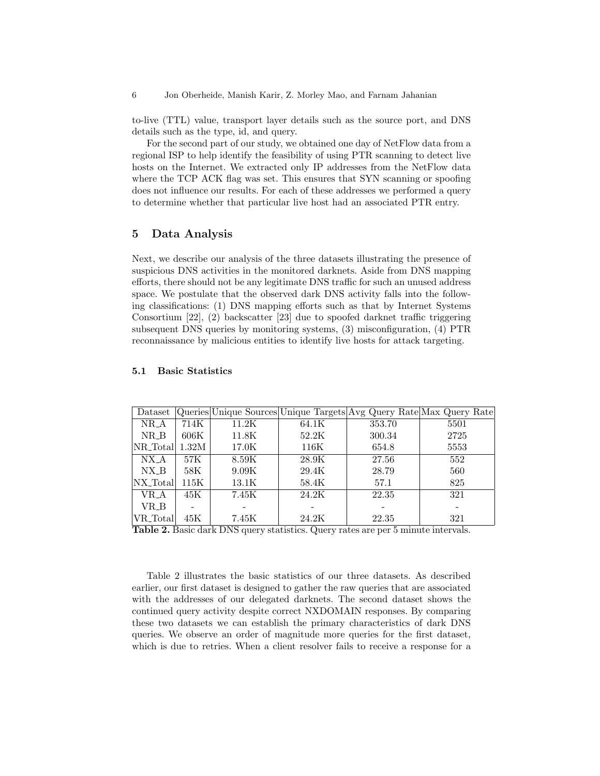to-live (TTL) value, transport layer details such as the source port, and DNS details such as the type, id, and query.

For the second part of our study, we obtained one day of NetFlow data from a regional ISP to help identify the feasibility of using PTR scanning to detect live hosts on the Internet. We extracted only IP addresses from the NetFlow data where the TCP ACK flag was set. This ensures that SYN scanning or spoofing does not influence our results. For each of these addresses we performed a query to determine whether that particular live host had an associated PTR entry.

# 5 Data Analysis

Next, we describe our analysis of the three datasets illustrating the presence of suspicious DNS activities in the monitored darknets. Aside from DNS mapping efforts, there should not be any legitimate DNS traffic for such an unused address space. We postulate that the observed dark DNS activity falls into the following classifications: (1) DNS mapping efforts such as that by Internet Systems Consortium [22], (2) backscatter [23] due to spoofed darknet traffic triggering subsequent DNS queries by monitoring systems, (3) misconfiguration, (4) PTR reconnaissance by malicious entities to identify live hosts for attack targeting.

| Dataset            |       |       |       |        | Queries Unique Sources Unique Targets Avg Query Rate Max Query Rate |
|--------------------|-------|-------|-------|--------|---------------------------------------------------------------------|
| $NR_A$             | 714K  | 11.2K | 64.1K | 353.70 | 5501                                                                |
| $NR$ <sub>-B</sub> | 606K  | 11.8K | 52.2K | 300.34 | 2725                                                                |
| NR_Total           | 1.32M | 17.0K | 116K  | 654.8  | 5553                                                                |
| $\mathbf{NX}\_A$   | 57K   | 8.59K | 28.9K | 27.56  | 552                                                                 |
| $\overline{NX}$    | 58K   | 9.09K | 29.4K | 28.79  | 560                                                                 |
| NX_Total           | 115K  | 13.1K | 58.4K | 57.1   | 825                                                                 |
| VR_A               | 45K   | 7.45K | 24.2K | 22.35  | 321                                                                 |
| VR_B               |       |       |       |        |                                                                     |
| $ VR\_Total $      | 45K   | 7.45K | 24.2K | 22.35  | 321                                                                 |

Table 2. Basic dark DNS query statistics. Query rates are per 5 minute intervals.

Table 2 illustrates the basic statistics of our three datasets. As described earlier, our first dataset is designed to gather the raw queries that are associated with the addresses of our delegated darknets. The second dataset shows the continued query activity despite correct NXDOMAIN responses. By comparing these two datasets we can establish the primary characteristics of dark DNS queries. We observe an order of magnitude more queries for the first dataset, which is due to retries. When a client resolver fails to receive a response for a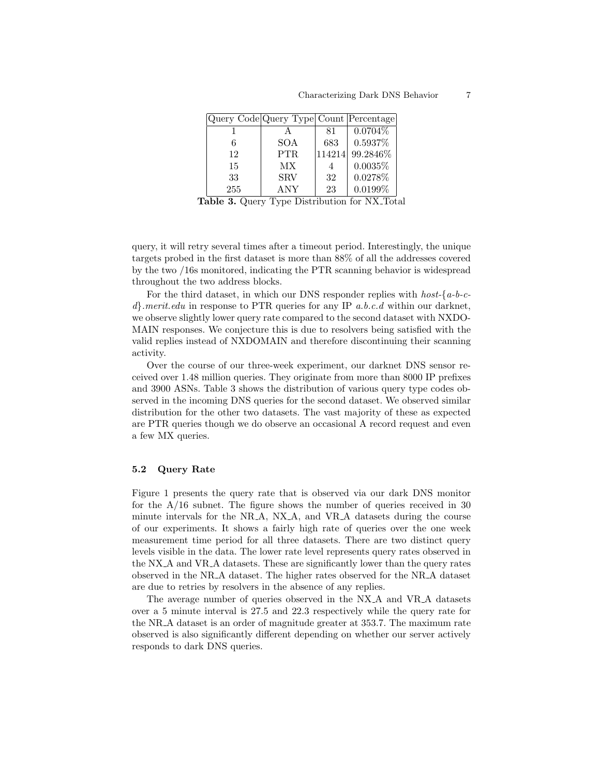| Query Code Query Type Count Percentage |            |        |          |
|----------------------------------------|------------|--------|----------|
|                                        |            | 81     | 0.0704\% |
| 6                                      | SOA        | 683    | 0.5937%  |
| 12                                     | PTR.       | 114214 | 99.2846% |
| 15                                     | МX         |        | 0.0035%  |
| 33                                     | <b>SRV</b> | 32     | 0.0278%  |
| 255                                    | <b>ANY</b> | 23     | 0.0199%  |

Table 3. Query Type Distribution for NX Total

query, it will retry several times after a timeout period. Interestingly, the unique targets probed in the first dataset is more than 88% of all the addresses covered by the two /16s monitored, indicating the PTR scanning behavior is widespread throughout the two address blocks.

For the third dataset, in which our DNS responder replies with host-{a-b-c $d$ }.*merit.edu* in response to PTR queries for any IP a.b.c.d within our darknet, we observe slightly lower query rate compared to the second dataset with NXDO-MAIN responses. We conjecture this is due to resolvers being satisfied with the valid replies instead of NXDOMAIN and therefore discontinuing their scanning activity.

Over the course of our three-week experiment, our darknet DNS sensor received over 1.48 million queries. They originate from more than 8000 IP prefixes and 3900 ASNs. Table 3 shows the distribution of various query type codes observed in the incoming DNS queries for the second dataset. We observed similar distribution for the other two datasets. The vast majority of these as expected are PTR queries though we do observe an occasional A record request and even a few MX queries.

#### 5.2 Query Rate

Figure 1 presents the query rate that is observed via our dark DNS monitor for the  $A/16$  subnet. The figure shows the number of queries received in 30 minute intervals for the NR A, NX A, and VR A datasets during the course of our experiments. It shows a fairly high rate of queries over the one week measurement time period for all three datasets. There are two distinct query levels visible in the data. The lower rate level represents query rates observed in the NX A and VR A datasets. These are significantly lower than the query rates observed in the NR A dataset. The higher rates observed for the NR A dataset are due to retries by resolvers in the absence of any replies.

The average number of queries observed in the NX<sub>-</sub>A and VR<sub>-</sub>A datasets over a 5 minute interval is 27.5 and 22.3 respectively while the query rate for the NR A dataset is an order of magnitude greater at 353.7. The maximum rate observed is also significantly different depending on whether our server actively responds to dark DNS queries.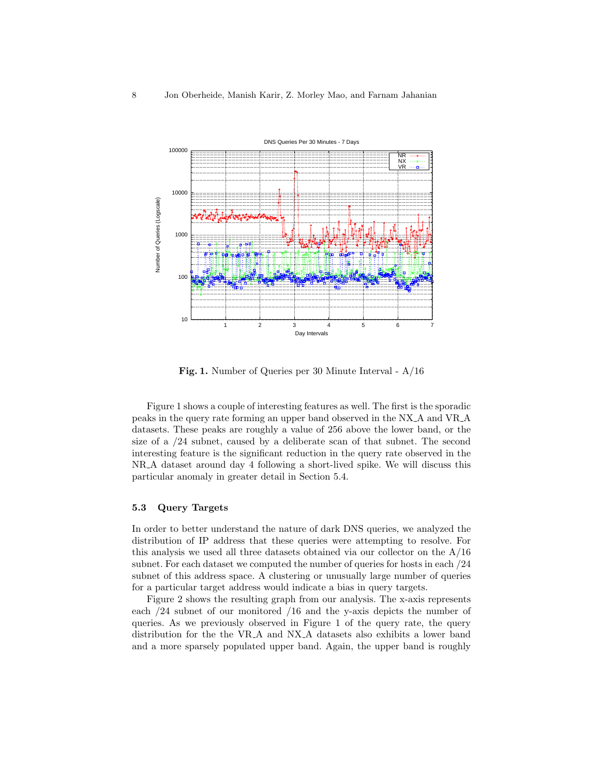

Fig. 1. Number of Queries per 30 Minute Interval - A/16

Figure 1 shows a couple of interesting features as well. The first is the sporadic peaks in the query rate forming an upper band observed in the NX A and VR A datasets. These peaks are roughly a value of 256 above the lower band, or the size of a /24 subnet, caused by a deliberate scan of that subnet. The second interesting feature is the significant reduction in the query rate observed in the NR A dataset around day 4 following a short-lived spike. We will discuss this particular anomaly in greater detail in Section 5.4.

#### 5.3 Query Targets

In order to better understand the nature of dark DNS queries, we analyzed the distribution of IP address that these queries were attempting to resolve. For this analysis we used all three datasets obtained via our collector on the A/16 subnet. For each dataset we computed the number of queries for hosts in each /24 subnet of this address space. A clustering or unusually large number of queries for a particular target address would indicate a bias in query targets.

Figure 2 shows the resulting graph from our analysis. The x-axis represents each /24 subnet of our monitored /16 and the y-axis depicts the number of queries. As we previously observed in Figure 1 of the query rate, the query distribution for the the VR A and NX A datasets also exhibits a lower band and a more sparsely populated upper band. Again, the upper band is roughly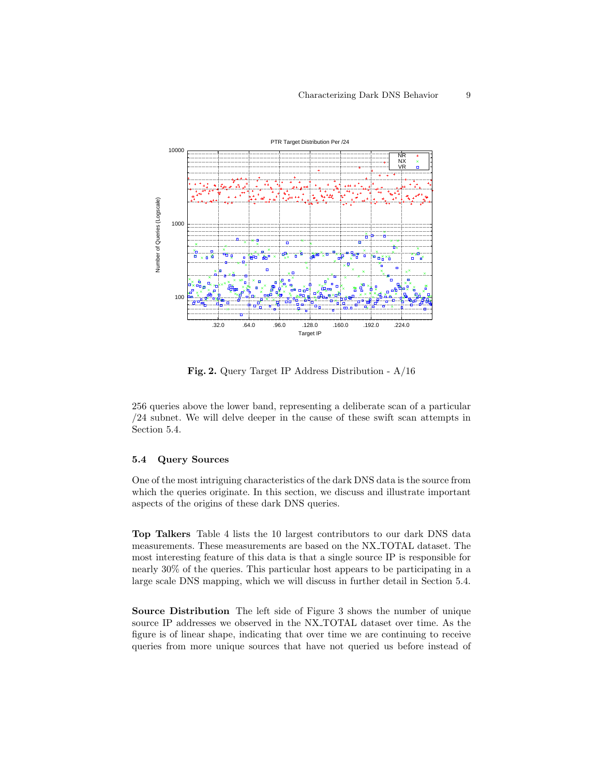

Fig. 2. Query Target IP Address Distribution - A/16

256 queries above the lower band, representing a deliberate scan of a particular /24 subnet. We will delve deeper in the cause of these swift scan attempts in Section 5.4.

#### 5.4 Query Sources

One of the most intriguing characteristics of the dark DNS data is the source from which the queries originate. In this section, we discuss and illustrate important aspects of the origins of these dark DNS queries.

Top Talkers Table 4 lists the 10 largest contributors to our dark DNS data measurements. These measurements are based on the NX TOTAL dataset. The most interesting feature of this data is that a single source IP is responsible for nearly 30% of the queries. This particular host appears to be participating in a large scale DNS mapping, which we will discuss in further detail in Section 5.4.

Source Distribution The left side of Figure 3 shows the number of unique source IP addresses we observed in the NX TOTAL dataset over time. As the figure is of linear shape, indicating that over time we are continuing to receive queries from more unique sources that have not queried us before instead of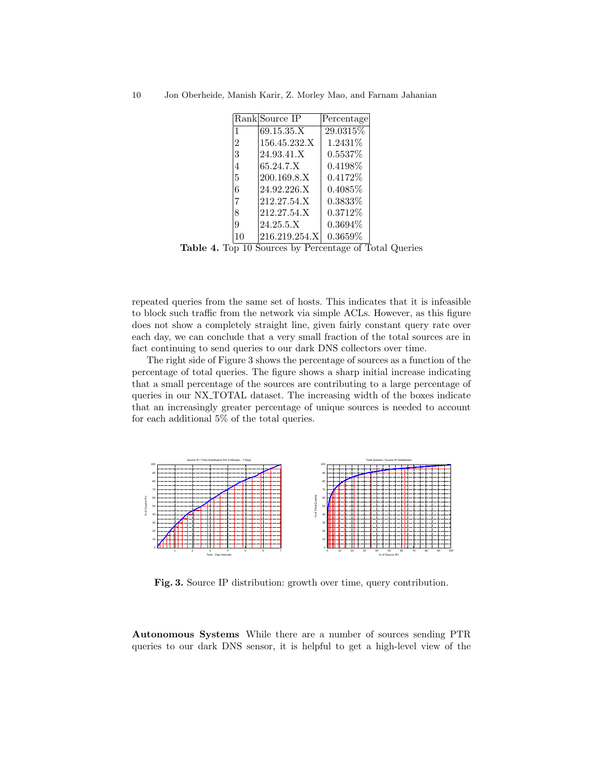|    | Rank Source IP | Percentage |
|----|----------------|------------|
| 1  | 69.15.35.X     | 29.0315%   |
| 2  | 156.45.232.X   | 1.2431\%   |
| 3  | 24.93.41.X     | $0.5537\%$ |
| 4  | 65.24.7.X      | 0.4198%    |
| 5  | 200.169.8.X    | 0.4172%    |
| 6  | 24.92.226.X    | $0.4085\%$ |
| 7  | 212.27.54.X    | $0.3833\%$ |
| 8  | 212.27.54.X    | $0.3712\%$ |
| 9  | 24.25.5.X      | 0.3694%    |
| 10 | 216.219.254.X  | $0.3659\%$ |

Table 4. Top 10 Sources by Percentage of Total Queries

repeated queries from the same set of hosts. This indicates that it is infeasible to block such traffic from the network via simple ACLs. However, as this figure does not show a completely straight line, given fairly constant query rate over each day, we can conclude that a very small fraction of the total sources are in fact continuing to send queries to our dark DNS collectors over time.

The right side of Figure 3 shows the percentage of sources as a function of the percentage of total queries. The figure shows a sharp initial increase indicating that a small percentage of the sources are contributing to a large percentage of queries in our NX TOTAL dataset. The increasing width of the boxes indicate that an increasingly greater percentage of unique sources is needed to account for each additional 5% of the total queries.



Fig. 3. Source IP distribution: growth over time, query contribution.

Autonomous Systems While there are a number of sources sending PTR queries to our dark DNS sensor, it is helpful to get a high-level view of the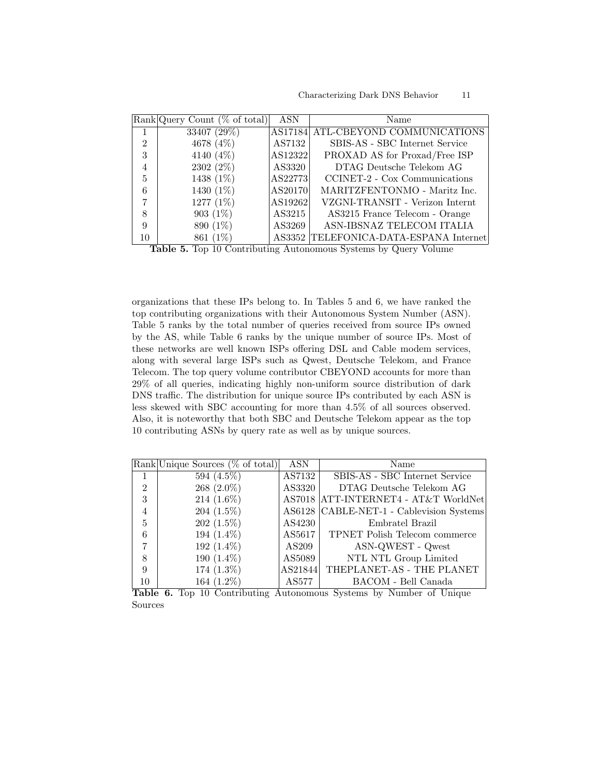#### Characterizing Dark DNS Behavior 11

|                | $\overline{\text{Rank} \text{Query Count }(\% \text{ of total})}$ | ASN     | Name                                   |
|----------------|-------------------------------------------------------------------|---------|----------------------------------------|
|                | 33407 (29%)                                                       |         | AS17184 ATL-CBEYOND COMMUNICATIONS     |
| $\overline{2}$ | 4678 (4%)                                                         | AS7132  | SBIS-AS - SBC Internet Service         |
| 3              | 4140 (4%)                                                         | AS12322 | PROXAD AS for Proxad/Free ISP          |
| 4              | 2302 (2%)                                                         | AS3320  | DTAG Deutsche Telekom AG               |
| 5              | 1438 (1%)                                                         | AS22773 | CCINET-2 - Cox Communications          |
| 6              | 1430 (1%)                                                         | AS20170 | MARITZFENTONMO - Maritz Inc.           |
| 7              | 1277 (1%)                                                         | AS19262 | VZGNI-TRANSIT - Verizon Internt        |
| 8              | 903 $(1\%)$                                                       | AS3215  | AS3215 France Telecom - Orange         |
| 9              | 890 (1%)                                                          | AS3269  | ASN-IBSNAZ TELECOM ITALIA              |
| 10             | 861 (1%)                                                          |         | AS3352 TELEFONICA-DATA-ESPANA Internet |

Table 5. Top 10 Contributing Autonomous Systems by Query Volume

organizations that these IPs belong to. In Tables 5 and 6, we have ranked the top contributing organizations with their Autonomous System Number (ASN). Table 5 ranks by the total number of queries received from source IPs owned by the AS, while Table 6 ranks by the unique number of source IPs. Most of these networks are well known ISPs offering DSL and Cable modem services, along with several large ISPs such as Qwest, Deutsche Telekom, and France Telecom. The top query volume contributor CBEYOND accounts for more than 29% of all queries, indicating highly non-uniform source distribution of dark DNS traffic. The distribution for unique source IPs contributed by each ASN is less skewed with SBC accounting for more than 4.5% of all sources observed. Also, it is noteworthy that both SBC and Deutsche Telekom appear as the top 10 contributing ASNs by query rate as well as by unique sources.

|                | Rank Unique Sources (% of total) | ASN     | Name                                       |
|----------------|----------------------------------|---------|--------------------------------------------|
|                | 594 (4.5%)                       | AS7132  | SBIS-AS - SBC Internet Service             |
| $\mathfrak{D}$ | 268 $(2.0\%)$                    | AS3320  | DTAG Deutsche Telekom AG                   |
| 3              | 214 $(1.6\%)$                    |         | AS7018 ATT-INTERNET4 - AT&T WorldNet       |
| $\overline{4}$ | $204(1.5\%)$                     |         | AS6128   CABLE-NET-1 - Cablevision Systems |
| 5              | $202(1.5\%)$                     | AS4230  | Embratel Brazil                            |
| 6              | 194 (1.4%)                       |         | AS5617   TPNET Polish Telecom commerce     |
|                | 192 $(1.4\%)$                    | AS209   | ASN-QWEST - Qwest                          |
| 8              | 190 $(1.4\%)$                    | AS5089  | NTL NTL Group Limited                      |
| 9              | 174 (1.3%)                       | AS21844 | THEPLANET-AS - THE PLANET                  |
| 10             | 164 $(1.2\%)$                    | AS577   | BACOM - Bell Canada                        |
| - - -          |                                  |         | $\sim$                                     |

Table 6. Top 10 Contributing Autonomous Systems by Number of Unique Sources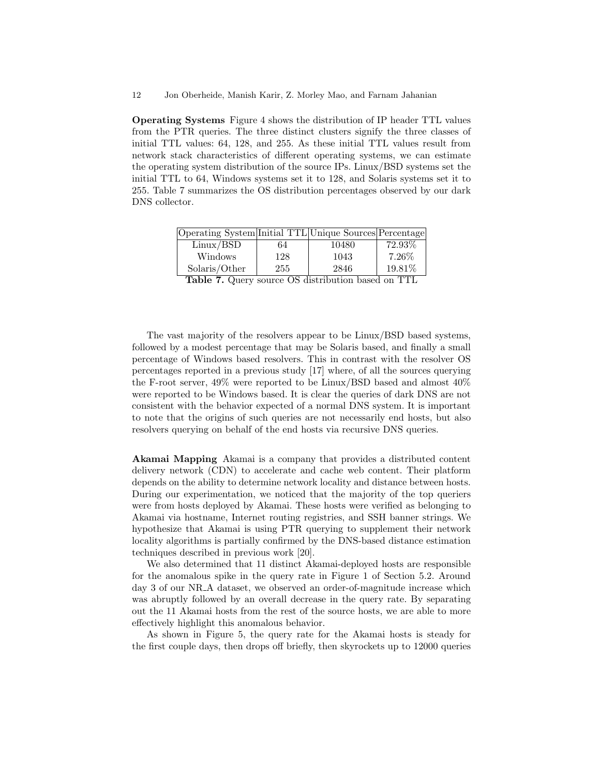12 Jon Oberheide, Manish Karir, Z. Morley Mao, and Farnam Jahanian

Operating Systems Figure 4 shows the distribution of IP header TTL values from the PTR queries. The three distinct clusters signify the three classes of initial TTL values: 64, 128, and 255. As these initial TTL values result from network stack characteristics of different operating systems, we can estimate the operating system distribution of the source IPs. Linux/BSD systems set the initial TTL to 64, Windows systems set it to 128, and Solaris systems set it to 255. Table 7 summarizes the OS distribution percentages observed by our dark DNS collector.

| Operating System Initial TTL Unique Sources Percentage |     |       |        |
|--------------------------------------------------------|-----|-------|--------|
| Linux/BSD                                              | 64  | 10480 | 72.93% |
| Windows                                                | 128 | 1043  | 7.26%  |
| Solaris/Other                                          | 255 | 2846  | 19.81% |
|                                                        |     |       |        |

Table 7. Query source OS distribution based on TTL

The vast majority of the resolvers appear to be Linux/BSD based systems, followed by a modest percentage that may be Solaris based, and finally a small percentage of Windows based resolvers. This in contrast with the resolver OS percentages reported in a previous study [17] where, of all the sources querying the F-root server, 49% were reported to be Linux/BSD based and almost 40% were reported to be Windows based. It is clear the queries of dark DNS are not consistent with the behavior expected of a normal DNS system. It is important to note that the origins of such queries are not necessarily end hosts, but also resolvers querying on behalf of the end hosts via recursive DNS queries.

Akamai Mapping Akamai is a company that provides a distributed content delivery network (CDN) to accelerate and cache web content. Their platform depends on the ability to determine network locality and distance between hosts. During our experimentation, we noticed that the majority of the top queriers were from hosts deployed by Akamai. These hosts were verified as belonging to Akamai via hostname, Internet routing registries, and SSH banner strings. We hypothesize that Akamai is using PTR querying to supplement their network locality algorithms is partially confirmed by the DNS-based distance estimation techniques described in previous work [20].

We also determined that 11 distinct Akamai-deployed hosts are responsible for the anomalous spike in the query rate in Figure 1 of Section 5.2. Around day 3 of our NR<sub>-</sub>A dataset, we observed an order-of-magnitude increase which was abruptly followed by an overall decrease in the query rate. By separating out the 11 Akamai hosts from the rest of the source hosts, we are able to more effectively highlight this anomalous behavior.

As shown in Figure 5, the query rate for the Akamai hosts is steady for the first couple days, then drops off briefly, then skyrockets up to 12000 queries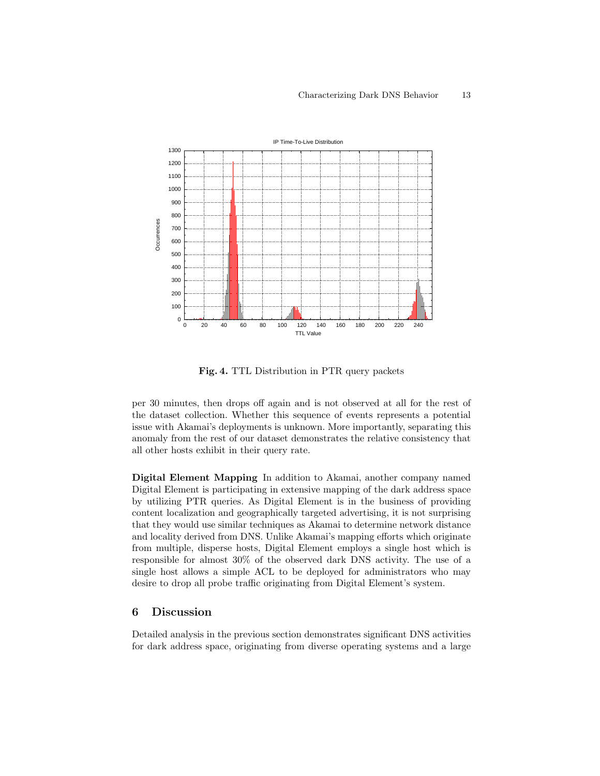

Fig. 4. TTL Distribution in PTR query packets

per 30 minutes, then drops off again and is not observed at all for the rest of the dataset collection. Whether this sequence of events represents a potential issue with Akamai's deployments is unknown. More importantly, separating this anomaly from the rest of our dataset demonstrates the relative consistency that all other hosts exhibit in their query rate.

Digital Element Mapping In addition to Akamai, another company named Digital Element is participating in extensive mapping of the dark address space by utilizing PTR queries. As Digital Element is in the business of providing content localization and geographically targeted advertising, it is not surprising that they would use similar techniques as Akamai to determine network distance and locality derived from DNS. Unlike Akamai's mapping efforts which originate from multiple, disperse hosts, Digital Element employs a single host which is responsible for almost 30% of the observed dark DNS activity. The use of a single host allows a simple ACL to be deployed for administrators who may desire to drop all probe traffic originating from Digital Element's system.

### 6 Discussion

Detailed analysis in the previous section demonstrates significant DNS activities for dark address space, originating from diverse operating systems and a large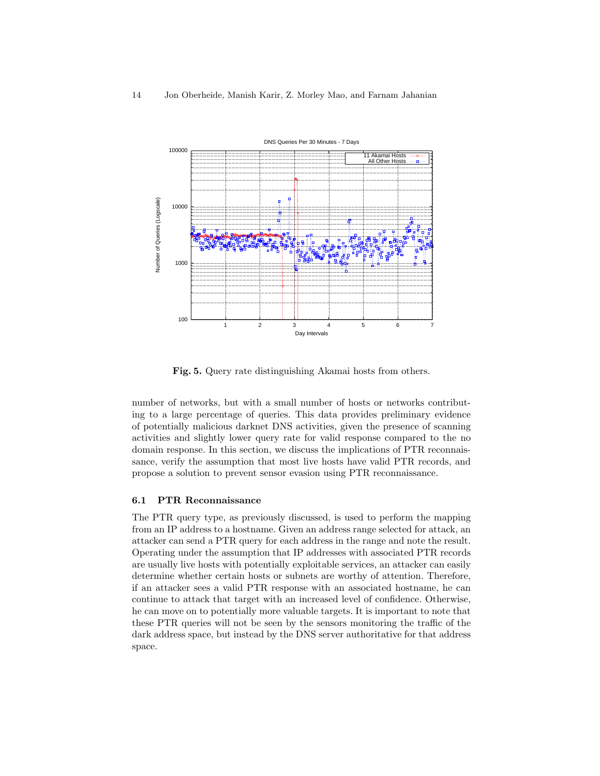

Fig. 5. Query rate distinguishing Akamai hosts from others.

number of networks, but with a small number of hosts or networks contributing to a large percentage of queries. This data provides preliminary evidence of potentially malicious darknet DNS activities, given the presence of scanning activities and slightly lower query rate for valid response compared to the no domain response. In this section, we discuss the implications of PTR reconnaissance, verify the assumption that most live hosts have valid PTR records, and propose a solution to prevent sensor evasion using PTR reconnaissance.

### 6.1 PTR Reconnaissance

The PTR query type, as previously discussed, is used to perform the mapping from an IP address to a hostname. Given an address range selected for attack, an attacker can send a PTR query for each address in the range and note the result. Operating under the assumption that IP addresses with associated PTR records are usually live hosts with potentially exploitable services, an attacker can easily determine whether certain hosts or subnets are worthy of attention. Therefore, if an attacker sees a valid PTR response with an associated hostname, he can continue to attack that target with an increased level of confidence. Otherwise, he can move on to potentially more valuable targets. It is important to note that these PTR queries will not be seen by the sensors monitoring the traffic of the dark address space, but instead by the DNS server authoritative for that address space.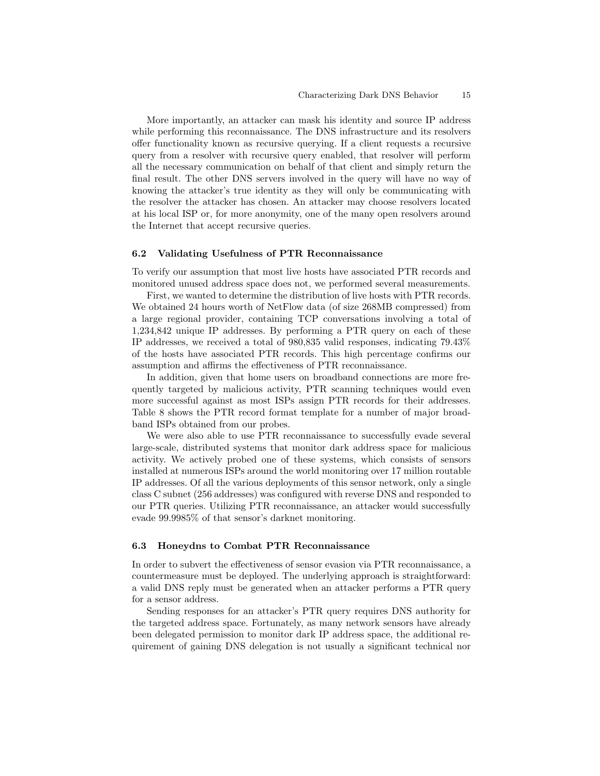More importantly, an attacker can mask his identity and source IP address while performing this reconnaissance. The DNS infrastructure and its resolvers offer functionality known as recursive querying. If a client requests a recursive query from a resolver with recursive query enabled, that resolver will perform all the necessary communication on behalf of that client and simply return the final result. The other DNS servers involved in the query will have no way of knowing the attacker's true identity as they will only be communicating with the resolver the attacker has chosen. An attacker may choose resolvers located at his local ISP or, for more anonymity, one of the many open resolvers around the Internet that accept recursive queries.

#### 6.2 Validating Usefulness of PTR Reconnaissance

To verify our assumption that most live hosts have associated PTR records and monitored unused address space does not, we performed several measurements.

First, we wanted to determine the distribution of live hosts with PTR records. We obtained 24 hours worth of NetFlow data (of size 268MB compressed) from a large regional provider, containing TCP conversations involving a total of 1,234,842 unique IP addresses. By performing a PTR query on each of these IP addresses, we received a total of 980,835 valid responses, indicating 79.43% of the hosts have associated PTR records. This high percentage confirms our assumption and affirms the effectiveness of PTR reconnaissance.

In addition, given that home users on broadband connections are more frequently targeted by malicious activity, PTR scanning techniques would even more successful against as most ISPs assign PTR records for their addresses. Table 8 shows the PTR record format template for a number of major broadband ISPs obtained from our probes.

We were also able to use PTR reconnaissance to successfully evade several large-scale, distributed systems that monitor dark address space for malicious activity. We actively probed one of these systems, which consists of sensors installed at numerous ISPs around the world monitoring over 17 million routable IP addresses. Of all the various deployments of this sensor network, only a single class C subnet (256 addresses) was configured with reverse DNS and responded to our PTR queries. Utilizing PTR reconnaissance, an attacker would successfully evade 99.9985% of that sensor's darknet monitoring.

#### 6.3 Honeydns to Combat PTR Reconnaissance

In order to subvert the effectiveness of sensor evasion via PTR reconnaissance, a countermeasure must be deployed. The underlying approach is straightforward: a valid DNS reply must be generated when an attacker performs a PTR query for a sensor address.

Sending responses for an attacker's PTR query requires DNS authority for the targeted address space. Fortunately, as many network sensors have already been delegated permission to monitor dark IP address space, the additional requirement of gaining DNS delegation is not usually a significant technical nor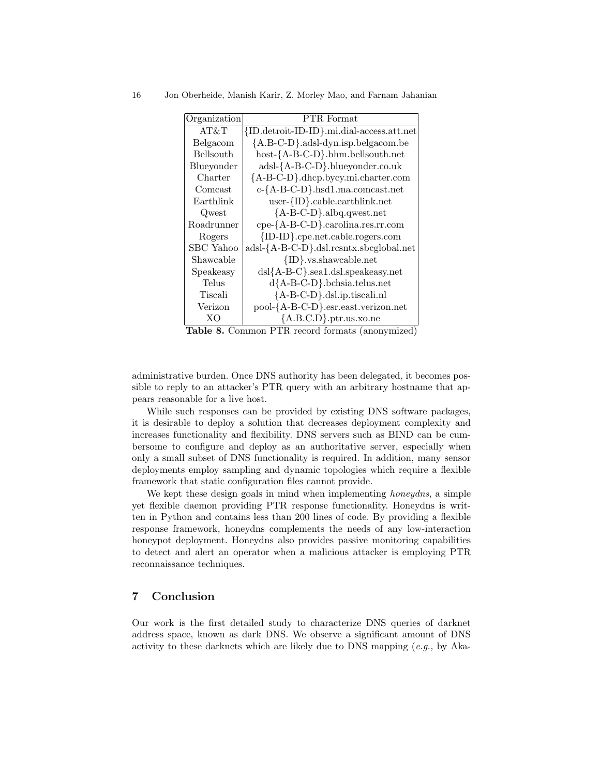|  | 16 | Jon Oberheide, Manish Karir, Z. Morley Mao, and Farnam Jahanian |  |  |  |  |  |
|--|----|-----------------------------------------------------------------|--|--|--|--|--|
|--|----|-----------------------------------------------------------------|--|--|--|--|--|

| Organization | <b>PTR</b> Format                                                |
|--------------|------------------------------------------------------------------|
| AT&T         | {ID.detroit-ID-ID}.mi.dial-access.att.net                        |
| Belgacom     | {A.B-C-D}.adsl-dyn.isp.belgacom.be                               |
| Bellsouth    | host-{A-B-C-D}.bhm.bellsouth.net                                 |
| Blueyonder   | adsl-{A-B-C-D}.blueyonder.co.uk                                  |
| Charter      | {A-B-C-D}.dhcp.bycy.mi.charter.com                               |
| Comcast      | c-{A-B-C-D}.hsd1.ma.comcast.net                                  |
| Earthlink    | $user - \{ ID \}$ .cable.earthlink.net                           |
| Qwest        | ${A-B-C-D}.albq. qwest.net$                                      |
| Roadrunner   | cpe-{A-B-C-D}.carolina.res.rr.com                                |
| Rogers       | {ID-ID}.cpe.net.cable.rogers.com                                 |
| SBC Yahoo    | adsl-{A-B-C-D}.dsl.rcsntx.sbcglobal.net                          |
| Shawcable    | $\{ID\}$ .vs.shawcable.net                                       |
| Speakeasy    | $ds$ <sup>{</sup> $A-B-C$ }.sea1.ds <sup>{</sup> .speakeasy.net} |
| Telus        | $d{A-B-C-D}.$ bchsia.telus.net                                   |
| Tiscali      | ${A-B-C-D}.$ dsl.ip.tiscali.nl                                   |
| Verizon      | pool-{A-B-C-D} esr east verizon net                              |
| XО           | ${A.B.C.D}.ptr.us.xo.ne$                                         |

Table 8. Common PTR record formats (anonymized)

administrative burden. Once DNS authority has been delegated, it becomes possible to reply to an attacker's PTR query with an arbitrary hostname that appears reasonable for a live host.

While such responses can be provided by existing DNS software packages, it is desirable to deploy a solution that decreases deployment complexity and increases functionality and flexibility. DNS servers such as BIND can be cumbersome to configure and deploy as an authoritative server, especially when only a small subset of DNS functionality is required. In addition, many sensor deployments employ sampling and dynamic topologies which require a flexible framework that static configuration files cannot provide.

We kept these design goals in mind when implementing *honeydns*, a simple yet flexible daemon providing PTR response functionality. Honeydns is written in Python and contains less than 200 lines of code. By providing a flexible response framework, honeydns complements the needs of any low-interaction honeypot deployment. Honeydns also provides passive monitoring capabilities to detect and alert an operator when a malicious attacker is employing PTR reconnaissance techniques.

# 7 Conclusion

Our work is the first detailed study to characterize DNS queries of darknet address space, known as dark DNS. We observe a significant amount of DNS activity to these darknets which are likely due to DNS mapping  $(e.g., by)$  Aka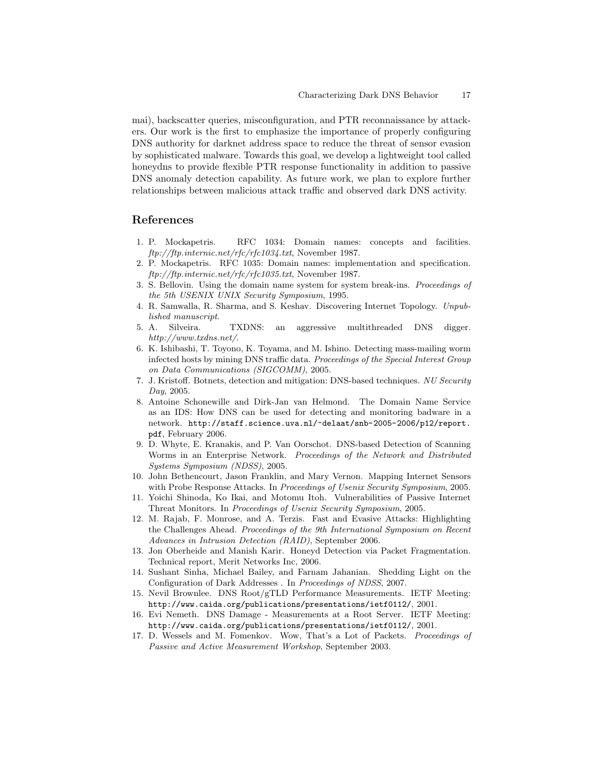mai), backscatter queries, misconfiguration, and PTR reconnaissance by attackers. Our work is the first to emphasize the importance of properly configuring DNS authority for darknet address space to reduce the threat of sensor evasion by sophisticated malware. Towards this goal, we develop a lightweight tool called honeydns to provide flexible PTR response functionality in addition to passive DNS anomaly detection capability. As future work, we plan to explore further relationships between malicious attack traffic and observed dark DNS activity.

### References

- 1. P. Mockapetris. RFC 1034: Domain names: concepts and facilities. ftp://ftp.internic.net/rfc/rfc1034.txt, November 1987.
- 2. P. Mockapetris. RFC 1035: Domain names: implementation and specification. ftp://ftp.internic.net/rfc/rfc1035.txt, November 1987.
- 3. S. Bellovin. Using the domain name system for system break-ins. Proceedings of the 5th USENIX UNIX Security Symposium, 1995.
- 4. R. Samwalla, R. Sharma, and S. Keshav. Discovering Internet Topology. Unpublished manuscript.
- 5. A. Silveira. TXDNS: an aggressive multithreaded DNS digger. http://www.txdns.net/.
- 6. K. Ishibashi, T. Toyono, K. Toyama, and M. Ishino. Detecting mass-mailing worm infected hosts by mining DNS traffic data. Proceedings of the Special Interest Group on Data Communications (SIGCOMM), 2005.
- 7. J. Kristoff. Botnets, detection and mitigation: DNS-based techniques. NU Security Day, 2005.
- 8. Antoine Schonewille and Dirk-Jan van Helmond. The Domain Name Service as an IDS: How DNS can be used for detecting and monitoring badware in a network. http://staff.science.uva.nl/~delaat/snb-2005-2006/p12/report. pdf, February 2006.
- 9. D. Whyte, E. Kranakis, and P. Van Oorschot. DNS-based Detection of Scanning Worms in an Enterprise Network. Proceedings of the Network and Distributed Systems Symposium (NDSS), 2005.
- 10. John Bethencourt, Jason Franklin, and Mary Vernon. Mapping Internet Sensors with Probe Response Attacks. In Proceedings of Usenix Security Symposium, 2005.
- 11. Yoichi Shinoda, Ko Ikai, and Motomu Itoh. Vulnerabilities of Passive Internet Threat Monitors. In Proceedings of Usenix Security Symposium, 2005.
- 12. M. Rajab, F. Monrose, and A. Terzis. Fast and Evasive Attacks: Highlighting the Challenges Ahead. Proceedings of the 9th International Symposium on Recent Advances in Intrusion Detection (RAID), September 2006.
- 13. Jon Oberheide and Manish Karir. Honeyd Detection via Packet Fragmentation. Technical report, Merit Networks Inc, 2006.
- 14. Sushant Sinha, Michael Bailey, and Farnam Jahanian. Shedding Light on the Configuration of Dark Addresses . In Proceedings of NDSS, 2007.
- 15. Nevil Brownlee. DNS Root/gTLD Performance Measurements. IETF Meeting: http://www.caida.org/publications/presentations/ietf0112/, 2001.
- 16. Evi Nemeth. DNS Damage Measurements at a Root Server. IETF Meeting: http://www.caida.org/publications/presentations/ietf0112/, 2001.
- 17. D. Wessels and M. Fomenkov. Wow, That's a Lot of Packets. Proceedings of Passive and Active Measurement Workshop, September 2003.